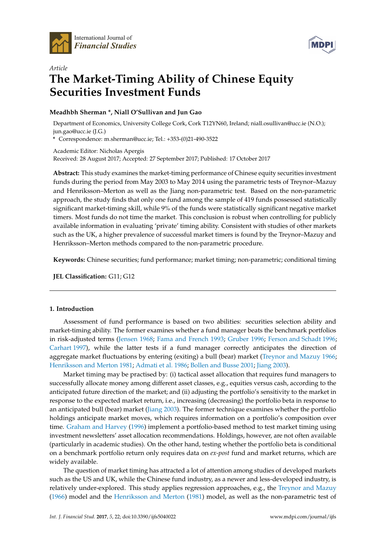



# *Article* **The Market-Timing Ability of Chinese Equity Securities Investment Funds**

# **Meadhbh Sherman \*, Niall O'Sullivan and Jun Gao**

Department of Economics, University College Cork, Cork T12YN60, Ireland; niall.osullivan@ucc.ie (N.O.); jun.gao@ucc.ie (J.G.)

**\*** Correspondence: m.sherman@ucc.ie; Tel.: +353-(0)21-490-3522

Academic Editor: Nicholas Apergis Received: 28 August 2017; Accepted: 27 September 2017; Published: 17 October 2017

**Abstract:** This study examines the market-timing performance of Chinese equity securities investment funds during the period from May 2003 to May 2014 using the parametric tests of Treynor–Mazuy and Henriksson–Merton as well as the Jiang non-parametric test. Based on the non-parametric approach, the study finds that only one fund among the sample of 419 funds possessed statistically significant market-timing skill, while 9% of the funds were statistically significant negative market timers. Most funds do not time the market. This conclusion is robust when controlling for publicly available information in evaluating 'private' timing ability. Consistent with studies of other markets such as the UK, a higher prevalence of successful market timers is found by the Treynor–Mazuy and Henriksson–Merton methods compared to the non-parametric procedure.

**Keywords:** Chinese securities; fund performance; market timing; non-parametric; conditional timing

**JEL Classification:** G11; G12

# **1. Introduction**

Assessment of fund performance is based on two abilities: securities selection ability and market-timing ability. The former examines whether a fund manager beats the benchmark portfolios in risk-adjusted terms [\(Jensen](#page-16-0) [1968;](#page-16-0) [Fama and French](#page-16-1) [1993;](#page-16-1) [Gruber](#page-16-2) [1996;](#page-16-2) [Ferson and Schadt](#page-16-3) [1996;](#page-16-3) [Carhart](#page-15-0) [1997\)](#page-15-0), while the latter tests if a fund manager correctly anticipates the direction of aggregate market fluctuations by entering (exiting) a bull (bear) market [\(Treynor and Mazuy](#page-16-4) [1966;](#page-16-4) [Henriksson and Merton](#page-16-5) [1981;](#page-16-5) [Admati et al.](#page-15-1) [1986;](#page-15-1) [Bollen and Busse](#page-15-2) [2001;](#page-15-2) [Jiang](#page-16-6) [2003\)](#page-16-6).

Market timing may be practised by: (i) tactical asset allocation that requires fund managers to successfully allocate money among different asset classes, e.g., equities versus cash, according to the anticipated future direction of the market; and (ii) adjusting the portfolio's sensitivity to the market in response to the expected market return, i.e., increasing (decreasing) the portfolio beta in response to an anticipated bull (bear) market [\(Jiang](#page-16-6) [2003\)](#page-16-6). The former technique examines whether the portfolio holdings anticipate market moves, which requires information on a portfolio's composition over time. [Graham and Harvey](#page-16-7) [\(1996\)](#page-16-7) implement a portfolio-based method to test market timing using investment newsletters' asset allocation recommendations. Holdings, however, are not often available (particularly in academic studies). On the other hand, testing whether the portfolio beta is conditional on a benchmark portfolio return only requires data on *ex-post* fund and market returns, which are widely available.

The question of market timing has attracted a lot of attention among studies of developed markets such as the US and UK, while the Chinese fund industry, as a newer and less-developed industry, is relatively under-explored. This study applies regression approaches, e.g., the [Treynor and Mazuy](#page-16-4) [\(1966\)](#page-16-4) model and the [Henriksson and Merton](#page-16-5) [\(1981\)](#page-16-5) model, as well as the non-parametric test of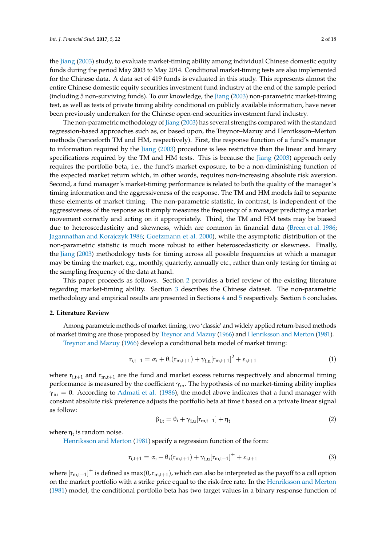the [Jiang](#page-16-6) [\(2003\)](#page-16-6) study, to evaluate market-timing ability among individual Chinese domestic equity funds during the period May 2003 to May 2014. Conditional market-timing tests are also implemented for the Chinese data. A data set of 419 funds is evaluated in this study. This represents almost the entire Chinese domestic equity securities investment fund industry at the end of the sample period (including 5 non-surviving funds). To our knowledge, the [Jiang](#page-16-6) [\(2003\)](#page-16-6) non-parametric market-timing

been previously undertaken for the Chinese open-end securities investment fund industry. The non-parametric methodology of [Jiang](#page-16-6) [\(2003\)](#page-16-6) has several strengths compared with the standard regression-based approaches such as, or based upon, the Treynor–Mazuy and Henriksson–Merton methods (henceforth TM and HM, respectively). First, the response function of a fund's manager to information required by the [Jiang](#page-16-6) [\(2003\)](#page-16-6) procedure is less restrictive than the linear and binary specifications required by the TM and HM tests. This is because the [Jiang](#page-16-6) [\(2003\)](#page-16-6) approach only requires the portfolio beta, i.e., the fund's market exposure, to be a non-diminishing function of the expected market return which, in other words, requires non-increasing absolute risk aversion. Second, a fund manager's market-timing performance is related to both the quality of the manager's timing information and the aggressiveness of the response. The TM and HM models fail to separate these elements of market timing. The non-parametric statistic, in contrast, is independent of the aggressiveness of the response as it simply measures the frequency of a manager predicting a market movement correctly and acting on it appropriately. Third, the TM and HM tests may be biased due to heteroscedasticity and skewness, which are common in financial data [\(Breen et al.](#page-15-3) [1986;](#page-15-3) [Jagannathan and Korajczyk](#page-16-8) [1986;](#page-16-8) [Goetzmann et al.](#page-16-9) [2000\)](#page-16-9), while the asymptotic distribution of the non-parametric statistic is much more robust to either heteroscedasticity or skewness. Finally, the [Jiang](#page-16-6) [\(2003\)](#page-16-6) methodology tests for timing across all possible frequencies at which a manager may be timing the market, e.g., monthly, quarterly, annually etc., rather than only testing for timing at the sampling frequency of the data at hand.

test, as well as tests of private timing ability conditional on publicly available information, have never

This paper proceeds as follows. Section [2](#page-1-0) provides a brief review of the existing literature regarding market-timing ability. Section [3](#page-4-0) describes the Chinese dataset. The non-parametric methodology and empirical results are presented in Sections [4](#page-7-0) and [5](#page-9-0) respectively. Section [6](#page-15-4) concludes.

# <span id="page-1-0"></span>**2. Literature Review**

Among parametric methods of market timing, two 'classic' and widely applied return-based methods of market timing are those proposed by [Treynor and Mazuy](#page-16-4) [\(1966\)](#page-16-4) and [Henriksson and Merton](#page-16-5) [\(1981\)](#page-16-5).

[Treynor and Mazuy](#page-16-4) [\(1966\)](#page-16-4) develop a conditional beta model of market timing:

$$
r_{i,t+1} = \alpha_i + \theta_i(r_{m,t+1}) + \gamma_{i,u}[r_{m,t+1}]^2 + \varepsilon_{i,t+1}
$$
 (1)

where  $r_{i,t+1}$  and  $r_{m,t+1}$  are the fund and market excess returns respectively and abnormal timing performance is measured by the coefficient *γiu*. The hypothesis of no market-timing ability implies  $\gamma_{\rm{iu}} = 0$ . According to [Admati et al.](#page-15-1) [\(1986\)](#page-15-1), the model above indicates that a fund manager with constant absolute risk preference adjusts the portfolio beta at time t based on a private linear signal as follow:

$$
\beta_{i,t} = \theta_i + \gamma_{i,u}[r_{m,t+1}] + \eta_t
$$
\n(2)

where  $\eta_t$  is random noise.

[Henriksson and Merton](#page-16-5) [\(1981\)](#page-16-5) specify a regression function of the form:

$$
r_{i,t+1} = \alpha_i + \theta_i(r_{m,t+1}) + \gamma_{i,u}[r_{m,t+1}]^+ + \varepsilon_{i,t+1}
$$
\n(3)

where  $\rm [r_{m,t+1}]^+$  is defined as max $(0,r_{m,t+1})$ , which can also be interpreted as the payoff to a call option on the market portfolio with a strike price equal to the risk-free rate. In the [Henriksson and Merton](#page-16-5) [\(1981\)](#page-16-5) model, the conditional portfolio beta has two target values in a binary response function of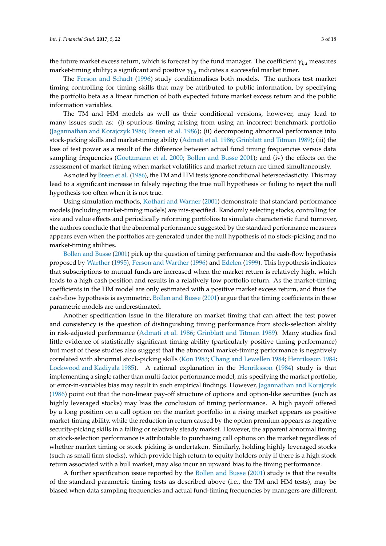the future market excess return, which is forecast by the fund manager. The coefficient  $\gamma_{i,u}$  measures market-timing ability; a significant and positive  $\gamma_{i,u}$  indicates a successful market timer.

The [Ferson and Schadt](#page-16-3) [\(1996\)](#page-16-3) study conditionalises both models. The authors test market timing controlling for timing skills that may be attributed to public information, by specifying the portfolio beta as a linear function of both expected future market excess return and the public information variables.

The TM and HM models as well as their conditional versions, however, may lead to many issues such as: (i) spurious timing arising from using an incorrect benchmark portfolio [\(Jagannathan and Korajczyk](#page-16-8) [1986;](#page-16-8) [Breen et al.](#page-15-3) [1986\)](#page-15-3); (ii) decomposing abnormal performance into stock-picking skills and market-timing ability [\(Admati et al.](#page-15-1) [1986;](#page-15-1) [Grinblatt and Titman](#page-16-10) [1989\)](#page-16-10); (iii) the loss of test power as a result of the difference between actual fund timing frequencies versus data sampling frequencies [\(Goetzmann et al.](#page-16-9) [2000;](#page-16-9) [Bollen and Busse](#page-15-2) [2001\)](#page-15-2); and (iv) the effects on the assessment of market timing when market volatilities and market return are timed simultaneously.

As noted by [Breen et al.](#page-15-3) [\(1986\)](#page-15-3), the TM and HM tests ignore conditional heterscedasticity. This may lead to a significant increase in falsely rejecting the true null hypothesis or failing to reject the null hypothesis too often when it is not true.

Using simulation methods, [Kothari and Warner](#page-16-11) [\(2001\)](#page-16-11) demonstrate that standard performance models (including market-timing models) are mis-specified. Randomly selecting stocks, controlling for size and value effects and periodically reforming portfolios to simulate characteristic fund turnover, the authors conclude that the abnormal performance suggested by the standard performance measures appears even when the portfolios are generated under the null hypothesis of no stock-picking and no market-timing abilities.

[Bollen and Busse](#page-15-2) [\(2001\)](#page-15-2) pick up the question of timing performance and the cash-flow hypothesis proposed by [Warther](#page-16-12) [\(1995\)](#page-16-12), [Ferson and Warther](#page-16-13) [\(1996\)](#page-16-13) and [Edelen](#page-16-14) [\(1999\)](#page-16-14). This hypothesis indicates that subscriptions to mutual funds are increased when the market return is relatively high, which leads to a high cash position and results in a relatively low portfolio return. As the market-timing coefficients in the HM model are only estimated with a positive market excess return, and thus the cash-flow hypothesis is asymmetric, [Bollen and Busse](#page-15-2) [\(2001\)](#page-15-2) argue that the timing coefficients in these parametric models are underestimated.

Another specification issue in the literature on market timing that can affect the test power and consistency is the question of distinguishing timing performance from stock-selection ability in risk-adjusted performance [\(Admati et al.](#page-15-1) [1986;](#page-15-1) [Grinblatt and Titman](#page-16-10) [1989\)](#page-16-10). Many studies find little evidence of statistically significant timing ability (particularly positive timing performance) but most of these studies also suggest that the abnormal market-timing performance is negatively correlated with abnormal stock-picking skills [\(Kon](#page-16-15) [1983;](#page-16-15) [Chang and Lewellen](#page-15-5) [1984;](#page-15-5) [Henriksson](#page-16-16) [1984;](#page-16-16) [Lockwood and Kadiyala](#page-16-17) [1985\)](#page-16-17). A rational explanation in the [Henriksson](#page-16-16) [\(1984\)](#page-16-16) study is that implementing a single rather than multi-factor performance model, mis-specifying the market portfolio, or error-in-variables bias may result in such empirical findings. However, [Jagannathan and Korajczyk](#page-16-8) [\(1986\)](#page-16-8) point out that the non-linear pay-off structure of options and option-like securities (such as highly leveraged stocks) may bias the conclusion of timing performance. A high payoff offered by a long position on a call option on the market portfolio in a rising market appears as positive market-timing ability, while the reduction in return caused by the option premium appears as negative security-picking skills in a falling or relatively steady market. However, the apparent abnormal timing or stock-selection performance is attributable to purchasing call options on the market regardless of whether market timing or stock picking is undertaken. Similarly, holding highly leveraged stocks (such as small firm stocks), which provide high return to equity holders only if there is a high stock return associated with a bull market, may also incur an upward bias to the timing performance.

A further specification issue reported by the [Bollen and Busse](#page-15-2) [\(2001\)](#page-15-2) study is that the results of the standard parametric timing tests as described above (i.e., the TM and HM tests), may be biased when data sampling frequencies and actual fund-timing frequencies by managers are different.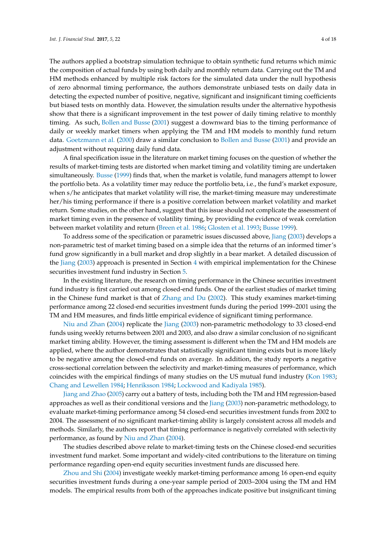The authors applied a bootstrap simulation technique to obtain synthetic fund returns which mimic the composition of actual funds by using both daily and monthly return data. Carrying out the TM and HM methods enhanced by multiple risk factors for the simulated data under the null hypothesis of zero abnormal timing performance, the authors demonstrate unbiased tests on daily data in detecting the expected number of positive, negative, significant and insignificant timing coefficients but biased tests on monthly data. However, the simulation results under the alternative hypothesis show that there is a significant improvement in the test power of daily timing relative to monthly timing. As such, [Bollen and Busse](#page-15-2) [\(2001\)](#page-15-2) suggest a downward bias to the timing performance of daily or weekly market timers when applying the TM and HM models to monthly fund return data. [Goetzmann et al.](#page-16-9) [\(2000\)](#page-16-9) draw a similar conclusion to [Bollen and Busse](#page-15-2) [\(2001\)](#page-15-2) and provide an adjustment without requiring daily fund data.

A final specification issue in the literature on market timing focuses on the question of whether the results of market-timing tests are distorted when market timing and volatility timing are undertaken simultaneously. [Busse](#page-15-6) [\(1999\)](#page-15-6) finds that, when the market is volatile, fund managers attempt to lower the portfolio beta. As a volatility timer may reduce the portfolio beta, i.e., the fund's market exposure, when s/he anticipates that market volatility will rise, the market-timing measure may underestimate her/his timing performance if there is a positive correlation between market volatility and market return. Some studies, on the other hand, suggest that this issue should not complicate the assessment of market timing even in the presence of volatility timing, by providing the evidence of weak correlation between market volatility and return [\(Breen et al.](#page-15-3) [1986;](#page-15-3) [Glosten et al.](#page-16-18) [1993;](#page-16-18) [Busse](#page-15-6) [1999\)](#page-15-6).

To address some of the specification or parametric issues discussed above, [Jiang](#page-16-6) [\(2003\)](#page-16-6) develops a non-parametric test of market timing based on a simple idea that the returns of an informed timer's fund grow significantly in a bull market and drop slightly in a bear market. A detailed discussion of the [Jiang](#page-16-6) [\(2003\)](#page-16-6) approach is presented in Section [4](#page-7-0) with empirical implementation for the Chinese securities investment fund industry in Section [5.](#page-9-0)

In the existing literature, the research on timing performance in the Chinese securities investment fund industry is first carried out among closed-end funds. One of the earliest studies of market timing in the Chinese fund market is that of [Zhang and Du](#page-17-0) [\(2002\)](#page-17-0). This study examines market-timing performance among 22 closed-end securities investment funds during the period 1999–2001 using the TM and HM measures, and finds little empirical evidence of significant timing performance.

[Niu and Zhan](#page-16-19) [\(2004\)](#page-16-19) replicate the [Jiang](#page-16-6) [\(2003\)](#page-16-6) non-parametric methodology to 33 closed-end funds using weekly returns between 2001 and 2003, and also draw a similar conclusion of no significant market timing ability. However, the timing assessment is different when the TM and HM models are applied, where the author demonstrates that statistically significant timing exists but is more likely to be negative among the closed-end funds on average. In addition, the study reports a negative cross-sectional correlation between the selectivity and market-timing measures of performance, which coincides with the empirical findings of many studies on the US mutual fund industry [\(Kon](#page-16-15) [1983;](#page-16-15) [Chang and Lewellen](#page-15-5) [1984;](#page-15-5) [Henriksson](#page-16-16) [1984;](#page-16-16) [Lockwood and Kadiyala](#page-16-17) [1985\)](#page-16-17).

[Jiang and Zhao](#page-16-20) [\(2005\)](#page-16-20) carry out a battery of tests, including both the TM and HM regression-based approaches as well as their conditional versions and the [Jiang](#page-16-6) [\(2003\)](#page-16-6) non-parametric methodology, to evaluate market-timing performance among 54 closed-end securities investment funds from 2002 to 2004. The assessment of no significant market-timing ability is largely consistent across all models and methods. Similarly, the authors report that timing performance is negatively correlated with selectivity performance, as found by [Niu and Zhan](#page-16-19) [\(2004\)](#page-16-19).

The studies described above relate to market-timing tests on the Chinese closed-end securities investment fund market. Some important and widely-cited contributions to the literature on timing performance regarding open-end equity securities investment funds are discussed here.

[Zhou and Shi](#page-17-1) [\(2004\)](#page-17-1) investigate weekly market-timing performance among 16 open-end equity securities investment funds during a one-year sample period of 2003–2004 using the TM and HM models. The empirical results from both of the approaches indicate positive but insignificant timing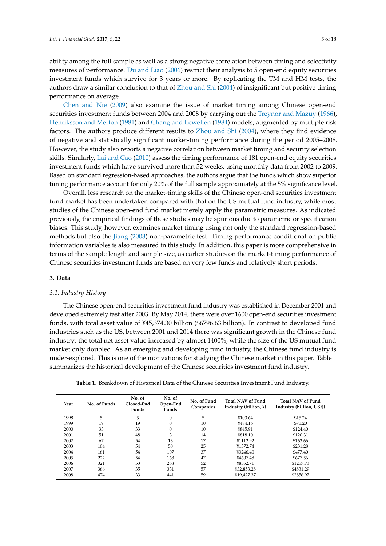ability among the full sample as well as a strong negative correlation between timing and selectivity measures of performance. [Du and Liao](#page-16-21) [\(2006\)](#page-16-21) restrict their analysis to 5 open-end equity securities investment funds which survive for 3 years or more. By replicating the TM and HM tests, the authors draw a similar conclusion to that of [Zhou and Shi](#page-17-1) [\(2004\)](#page-17-1) of insignificant but positive timing performance on average.

[Chen and Nie](#page-15-7) [\(2009\)](#page-15-7) also examine the issue of market timing among Chinese open-end securities investment funds between 2004 and 2008 by carrying out the [Treynor and Mazuy](#page-16-4) [\(1966\)](#page-16-4), [Henriksson and Merton](#page-16-5) [\(1981\)](#page-16-5) and [Chang and Lewellen](#page-15-5) [\(1984\)](#page-15-5) models, augmented by multiple risk factors. The authors produce different results to [Zhou and Shi](#page-17-1) [\(2004\)](#page-17-1), where they find evidence of negative and statistically significant market-timing performance during the period 2005–2008. However, the study also reports a negative correlation between market timing and security selection skills. Similarly, [Lai and Cao](#page-16-22) [\(2010\)](#page-16-22) assess the timing performance of 181 open-end equity securities investment funds which have survived more than 52 weeks, using monthly data from 2002 to 2009. Based on standard regression-based approaches, the authors argue that the funds which show superior timing performance account for only 20% of the full sample approximately at the 5% significance level.

Overall, less research on the market-timing skills of the Chinese open-end securities investment fund market has been undertaken compared with that on the US mutual fund industry, while most studies of the Chinese open-end fund market merely apply the parametric measures. As indicated previously, the empirical findings of these studies may be spurious due to parametric or specification biases. This study, however, examines market timing using not only the standard regression-based methods but also the [Jiang](#page-16-6) [\(2003\)](#page-16-6) non-parametric test. Timing performance conditional on public information variables is also measured in this study. In addition, this paper is more comprehensive in terms of the sample length and sample size, as earlier studies on the market-timing performance of Chinese securities investment funds are based on very few funds and relatively short periods.

# <span id="page-4-0"></span>**3. Data**

# *3.1. Industry History*

The Chinese open-end securities investment fund industry was established in December 2001 and developed extremely fast after 2003. By May 2014, there were over 1600 open-end securities investment funds, with total asset value of ¥45,374.30 billion (\$6796.63 billion). In contrast to developed fund industries such as the US, between 2001 and 2014 there was significant growth in the Chinese fund industry: the total net asset value increased by almost 1400%, while the size of the US mutual fund market only doubled. As an emerging and developing fund industry, the Chinese fund industry is under-explored. This is one of the motivations for studying the Chinese market in this paper. Table [1](#page-5-0) summarizes the historical development of the Chinese securities investment fund industry.

| Year | No. of Funds | No. of<br>Closed-End<br>Funds | No. of<br>Open-End<br>Funds | No. of Fund<br>Companies | Total NAV of Fund<br>Industry (billion, ¥) | Total NAV of Fund<br>Industry (billion, US \$) |  |  |  |
|------|--------------|-------------------------------|-----------------------------|--------------------------|--------------------------------------------|------------------------------------------------|--|--|--|
| 1998 | 5            | 5                             | $\Omega$                    | 5                        | ¥103.64                                    | \$15.24                                        |  |  |  |
| 1999 | 19           | 19                            | $\Omega$                    | 10                       | ¥484.16                                    | \$71.20                                        |  |  |  |
| 2000 | 33           | 33                            | $\Omega$                    | 10                       | ¥845.91                                    | \$124.40                                       |  |  |  |
| 2001 | 51           | 48                            | 3                           | 14                       | ¥818.10                                    | \$120.31                                       |  |  |  |
| 2002 | 67           | 54                            | 13                          | 17                       | ¥1112.92                                   | \$163.66                                       |  |  |  |
| 2003 | 104          | 54                            | 50                          | 25                       | ¥1572.74                                   | \$231.28                                       |  |  |  |
| 2004 | 161          | 54                            | 107                         | 37                       | ¥3246.40                                   | \$477.40                                       |  |  |  |
| 2005 | 222          | 54                            | 168                         | 47                       | ¥4607.48                                   | \$677.56                                       |  |  |  |
| 2006 | 321          | 53                            | 268                         | 52                       | ¥8552.71                                   | \$1257.73                                      |  |  |  |
| 2007 | 366          | 35                            | 331                         | 57                       | ¥32,853.28                                 | \$4831.29                                      |  |  |  |
| 2008 | 474          | 33                            | 441                         | 59                       | ¥19,427.37                                 | \$2856.97                                      |  |  |  |

**Table 1.** Breakdown of Historical Data of the Chinese Securities Investment Fund Industry.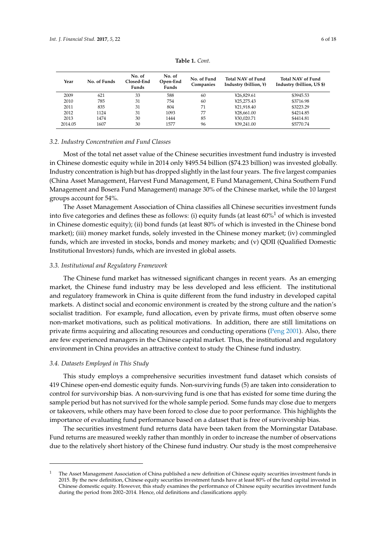<span id="page-5-0"></span>

| Year    | No. of Funds | No. of<br>Closed-End<br>Funds | No. of<br>Open-End<br>Funds | No. of Fund<br>Companies | Total NAV of Fund<br>Industry (billion, ¥) | Total NAV of Fund<br>Industry (billion, US \$) |  |  |  |  |
|---------|--------------|-------------------------------|-----------------------------|--------------------------|--------------------------------------------|------------------------------------------------|--|--|--|--|
| 2009    | 621          | 33                            | 588                         | 60                       | ¥26,829.61                                 | \$3945.53                                      |  |  |  |  |
| 2010    | 785          | 31                            | 754                         | 60                       | ¥25,275.43                                 | \$3716.98                                      |  |  |  |  |
| 2011    | 835          | 31                            | 804                         | 71                       | ¥21,918.40                                 | \$3223.29                                      |  |  |  |  |
| 2012    | 1124         | 31                            | 1093                        | 77                       | ¥28,661.00                                 | \$4214.85                                      |  |  |  |  |
| 2013    | 1474         | 30                            | 1444                        | 85                       | ¥30.020.71                                 | \$4414.81                                      |  |  |  |  |
| 2014.05 | 1607         | 30                            | 1577                        | 96                       | ¥39.241.00                                 | \$5770.74                                      |  |  |  |  |

**Table 1.** *Cont.*

# *3.2. Industry Concentration and Fund Classes*

Most of the total net asset value of the Chinese securities investment fund industry is invested in Chinese domestic equity while in 2014 only ¥495.54 billion (\$74.23 billion) was invested globally. Industry concentration is high but has dropped slightly in the last four years. The five largest companies (China Asset Management, Harvest Fund Management, E Fund Management, China Southern Fund Management and Bosera Fund Management) manage 30% of the Chinese market, while the 10 largest groups account for 54%.

The Asset Management Association of China classifies all Chinese securities investment funds into five categories and defines these as follows: (i) equity funds (at least  $60\%$ <sup>1</sup> of which is invested in Chinese domestic equity); (ii) bond funds (at least 80% of which is invested in the Chinese bond market); (iii) money market funds, solely invested in the Chinese money market; (iv) commingled funds, which are invested in stocks, bonds and money markets; and (v) QDII (Qualified Domestic Institutional Investors) funds, which are invested in global assets.

# *3.3. Institutional and Regulatory Framework*

The Chinese fund market has witnessed significant changes in recent years. As an emerging market, the Chinese fund industry may be less developed and less efficient. The institutional and regulatory framework in China is quite different from the fund industry in developed capital markets. A distinct social and economic environment is created by the strong culture and the nation's socialist tradition. For example, fund allocation, even by private firms, must often observe some non-market motivations, such as political motivations. In addition, there are still limitations on private firms acquiring and allocating resources and conducting operations [\(Peng](#page-16-23) [2001\)](#page-16-23). Also, there are few experienced managers in the Chinese capital market. Thus, the institutional and regulatory environment in China provides an attractive context to study the Chinese fund industry.

#### *3.4. Datasets Employed in This Study*

This study employs a comprehensive securities investment fund dataset which consists of 419 Chinese open-end domestic equity funds. Non-surviving funds (5) are taken into consideration to control for survivorship bias. A non-surviving fund is one that has existed for some time during the sample period but has not survived for the whole sample period. Some funds may close due to mergers or takeovers, while others may have been forced to close due to poor performance. This highlights the importance of evaluating fund performance based on a dataset that is free of survivorship bias.

The securities investment fund returns data have been taken from the Morningstar Database. Fund returns are measured weekly rather than monthly in order to increase the number of observations due to the relatively short history of the Chinese fund industry. Our study is the most comprehensive

<sup>1</sup> The Asset Management Association of China published a new definition of Chinese equity securities investment funds in 2015. By the new definition, Chinese equity securities investment funds have at least 80% of the fund capital invested in Chinese domestic equity. However, this study examines the performance of Chinese equity securities investment funds during the period from 2002–2014. Hence, old definitions and classifications apply.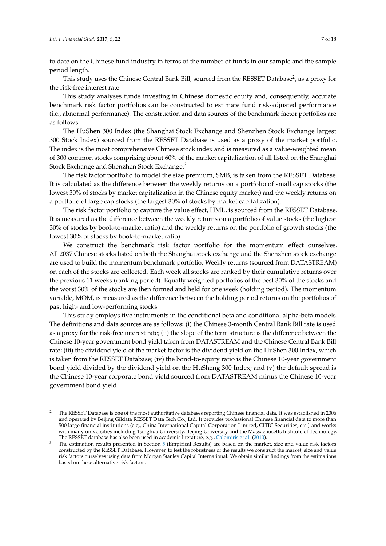to date on the Chinese fund industry in terms of the number of funds in our sample and the sample period length.

This study uses the Chinese Central Bank Bill, sourced from the RESSET Database<sup>2</sup>, as a proxy for the risk-free interest rate.

This study analyses funds investing in Chinese domestic equity and, consequently, accurate benchmark risk factor portfolios can be constructed to estimate fund risk-adjusted performance (i.e., abnormal performance). The construction and data sources of the benchmark factor portfolios are as follows:

The HuShen 300 Index (the Shanghai Stock Exchange and Shenzhen Stock Exchange largest 300 Stock Index) sourced from the RESSET Database is used as a proxy of the market portfolio. The index is the most comprehensive Chinese stock index and is measured as a value-weighted mean of 300 common stocks comprising about 60% of the market capitalization of all listed on the Shanghai Stock Exchange and Shenzhen Stock Exchange.<sup>3</sup>

The risk factor portfolio to model the size premium, SMB, is taken from the RESSET Database. It is calculated as the difference between the weekly returns on a portfolio of small cap stocks (the lowest 30% of stocks by market capitalization in the Chinese equity market) and the weekly returns on a portfolio of large cap stocks (the largest 30% of stocks by market capitalization).

The risk factor portfolio to capture the value effect, HML, is sourced from the RESSET Database. It is measured as the difference between the weekly returns on a portfolio of value stocks (the highest 30% of stocks by book-to-market ratio) and the weekly returns on the portfolio of growth stocks (the lowest 30% of stocks by book-to-market ratio).

We construct the benchmark risk factor portfolio for the momentum effect ourselves. All 2037 Chinese stocks listed on both the Shanghai stock exchange and the Shenzhen stock exchange are used to build the momentum benchmark portfolio. Weekly returns (sourced from DATASTREAM) on each of the stocks are collected. Each week all stocks are ranked by their cumulative returns over the previous 11 weeks (ranking period). Equally weighted portfolios of the best 30% of the stocks and the worst 30% of the stocks are then formed and held for one week (holding period). The momentum variable, MOM, is measured as the difference between the holding period returns on the portfolios of past high- and low-performing stocks.

This study employs five instruments in the conditional beta and conditional alpha-beta models. The definitions and data sources are as follows: (i) the Chinese 3-month Central Bank Bill rate is used as a proxy for the risk-free interest rate; (ii) the slope of the term structure is the difference between the Chinese 10-year government bond yield taken from DATASTREAM and the Chinese Central Bank Bill rate; (iii) the dividend yield of the market factor is the dividend yield on the HuShen 300 Index, which is taken from the RESSET Database; (iv) the bond-to-equity ratio is the Chinese 10-year government bond yield divided by the dividend yield on the HuSheng 300 Index; and (v) the default spread is the Chinese 10-year corporate bond yield sourced from DATASTREAM minus the Chinese 10-year government bond yield.

<sup>&</sup>lt;sup>2</sup> The RESSET Database is one of the most authoritative databases reporting Chinese financial data. It was established in 2006 and operated by Beijing Gildata RESSET Data Tech Co., Ltd. It provides professional Chinese financial data to more than 500 large financial institutions (e.g., China International Capital Corporation Limited, CITIC Securities, etc.) and works with many universities including Tsinghua University, Beijing University and the Massachusetts Institute of Technology. The RESSET database has also been used in academic literature, e.g., [Calomiris et al.](#page-15-8) [\(2010\)](#page-15-8).

The estimation results presented in Section [5](#page-9-0) (Empirical Results) are based on the market, size and value risk factors constructed by the RESSET Database. However, to test the robustness of the results we construct the market, size and value risk factors ourselves using data from Morgan Stanley Capital International. We obtain similar findings from the estimations based on these alternative risk factors.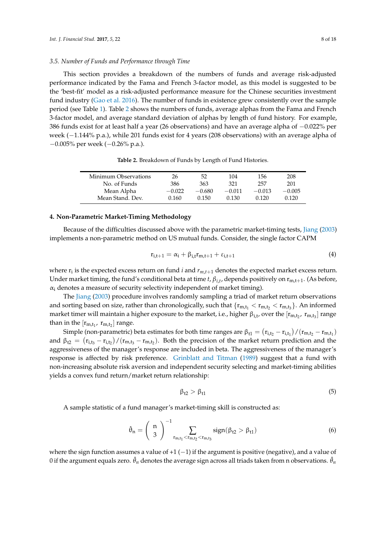# *3.5. Number of Funds and Performance through Time*

This section provides a breakdown of the numbers of funds and average risk-adjusted performance indicated by the Fama and French 3-factor model, as this model is suggested to be the 'best-fit' model as a risk-adjusted performance measure for the Chinese securities investment fund industry [\(Gao et al.](#page-16-24) [2016\)](#page-16-24). The number of funds in existence grew consistently over the sample period (see Table [1\)](#page-5-0). Table [2](#page-7-1) shows the numbers of funds, average alphas from the Fama and French 3-factor model, and average standard deviation of alphas by length of fund history. For example, 386 funds exist for at least half a year (26 observations) and have an average alpha of −0.022% per week (-1.144% p.a.), while 201 funds exist for 4 years (208 observations) with an average alpha of −0.005% per week (−0.26% p.a.).

**Table 2.** Breakdown of Funds by Length of Fund Histories.

<span id="page-7-1"></span>

| Minimum Observations | 26       | 52       | 104      | 156      | 208      |
|----------------------|----------|----------|----------|----------|----------|
| No. of Funds         | 386      | 363      | 321      | 257      | 201      |
| Mean Alpha           | $-0.022$ | $-0.680$ | $-0.011$ | $-0.013$ | $-0.005$ |
| Mean Stand. Dev.     | 0.160    | 0.150    | 0.130    | 0.120    | 0.120    |
|                      |          |          |          |          |          |

#### <span id="page-7-0"></span>**4. Non-Parametric Market-Timing Methodology**

Because of the difficulties discussed above with the parametric market-timing tests, [Jiang](#page-16-6) [\(2003\)](#page-16-6) implements a non-parametric method on US mutual funds. Consider, the single factor CAPM

$$
\mathbf{r}_{i,t+1} = \alpha_i + \beta_{i,t}\mathbf{r}_{m,t+1} + \varepsilon_{i,t+1} \tag{4}
$$

where  $\mathbf{r}_i$  is the expected excess return on fund  $i$  and  $r_{m,t+1}$  denotes the expected market excess return. Under market timing, the fund's conditional beta at time *t*,  $β_{i,t}$ , depends positively on r<sub>m,t+1</sub>. (As before,  $\alpha_i$  denotes a measure of security selectivity independent of market timing).

The [Jiang](#page-16-6) [\(2003\)](#page-16-6) procedure involves randomly sampling a triad of market return observations and sorting based on size, rather than chronologically, such that  $\{r_{m,t_1} < r_{m,t_2} < r_{m,t_3}\}$ . An informed market timer will maintain a higher exposure to the market, i.e., higher  $\beta_{i,t}$ , over the  $[r_{m,t_2},\ r_{m,t_3}]$  range than in the  $[r_{m,t_1}, r_{m,t_2}]$  range.

Simple (non-parametric) beta estimates for both time ranges are  $\beta_{t1} = (r_{i,t_2} - r_{i,t_1})/(r_{m,t_2} - r_{m,t_1})$ and  $\beta_{t2} = (r_{i,t_3} - r_{i,t_2})/(r_{m,t_3} - r_{m,t_2})$ . Both the precision of the market return prediction and the aggressiveness of the manager's response are included in beta. The aggressiveness of the manager's response is affected by risk preference. [Grinblatt and Titman](#page-16-10) [\(1989\)](#page-16-10) suggest that a fund with non-increasing absolute risk aversion and independent security selecting and market-timing abilities yields a convex fund return/market return relationship:

$$
\beta_{t2} > \beta_{t1} \tag{5}
$$

A sample statistic of a fund manager's market-timing skill is constructed as:

$$
\hat{\theta}_n = \left(\begin{array}{c} n \\ 3 \end{array}\right)^{-1} \sum_{r_{m,t_1} < r_{m,t_2}} sign(\beta_{t2} > \beta_{t1}) \tag{6}
$$

where the sign function assumes a value of  $+1$  ( $-1$ ) if the argument is positive (negative), and a value of 0 if the argument equals zero.  $\hat{\theta}_n$  denotes the average sign across all triads taken from n observations.  $\hat{\theta}_n$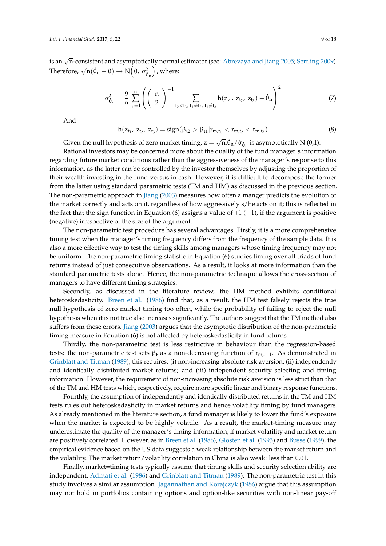is an  $\sqrt{\overline{n}}$ -consistent and asymptotically normal estimator (see: [Abrevaya and Jiang](#page-15-9) [2005;](#page-15-9) [Serfling](#page-16-25) [2009\)](#page-16-25). Therefore,  $\sqrt{n}(\hat{\theta}_n - \theta) \rightarrow N(0, \sigma_{\hat{\theta}_n}^2)$ , where:

$$
\sigma_{\hat{\theta}_n}^2 = \frac{9}{n} \sum_{t_1=1}^n \left( \left( \begin{array}{c} n \\ 2 \end{array} \right)^{-1} \sum_{t_2 < t_3, t_1 \neq t_2, t_1 \neq t_3} h(z_{t_1}, z_{t_2}, z_{t_3}) - \hat{\theta}_n \right)^2 \tag{7}
$$

And

$$
h(z_{t_1}, z_{t_2}, z_{t_3}) = sign(\beta_{t2} > \beta_{t1}|r_{m,t_1} < r_{m,t_2} < r_{m,t_3})
$$
\n(8)

Given the null hypothesis of zero market timing,  $z = \sqrt{n}.\hat{\theta}_n/\hat{\sigma}_{\hat{\theta}_n}$  is asymptotically N (0,1).

Rational investors may be concerned more about the quality of the fund manager's information regarding future market conditions rather than the aggressiveness of the manager's response to this information, as the latter can be controlled by the investor themselves by adjusting the proportion of their wealth investing in the fund versus in cash. However, it is difficult to decompose the former from the latter using standard parametric tests (TM and HM) as discussed in the previous section. The non-parametric approach in [Jiang](#page-16-6) [\(2003\)](#page-16-6) measures how often a manger predicts the evolution of the market correctly and acts on it, regardless of how aggressively s/he acts on it; this is reflected in the fact that the sign function in Equation (6) assigns a value of  $+1$  ( $-1$ ), if the argument is positive (negative) irrespective of the size of the argument.

The non-parametric test procedure has several advantages. Firstly, it is a more comprehensive timing test when the manager's timing frequency differs from the frequency of the sample data. It is also a more effective way to test the timing skills among managers whose timing frequency may not be uniform. The non-parametric timing statistic in Equation (6) studies timing over all triads of fund returns instead of just consecutive observations. As a result, it looks at more information than the standard parametric tests alone. Hence, the non-parametric technique allows the cross-section of managers to have different timing strategies.

Secondly, as discussed in the literature review, the HM method exhibits conditional heteroskedasticity. [Breen et al.](#page-15-3) [\(1986\)](#page-15-3) find that, as a result, the HM test falsely rejects the true null hypothesis of zero market timing too often, while the probability of failing to reject the null hypothesis when it is not true also increases significantly. The authors suggest that the TM method also suffers from these errors. [Jiang](#page-16-6) [\(2003\)](#page-16-6) argues that the asymptotic distribution of the non-parametric timing measure in Equation (6) is not affected by heteroskedasticity in fund returns.

Thirdly, the non-parametric test is less restrictive in behaviour than the regression-based tests: the non-parametric test sets  $\beta_t$  as a non-decreasing function of  $r_{m,t+1}$ . As demonstrated in [Grinblatt and Titman](#page-16-10) [\(1989\)](#page-16-10), this requires: (i) non-increasing absolute risk aversion; (ii) independently and identically distributed market returns; and (iii) independent security selecting and timing information. However, the requirement of non-increasing absolute risk aversion is less strict than that of the TM and HM tests which, respectively, require more specific linear and binary response functions.

Fourthly, the assumption of independently and identically distributed returns in the TM and HM tests rules out heteroskedasticity in market returns and hence volatility timing by fund managers. As already mentioned in the literature section, a fund manager is likely to lower the fund's exposure when the market is expected to be highly volatile. As a result, the market-timing measure may underestimate the quality of the manager's timing information, if market volatility and market return are positively correlated. However, as in [Breen et al.](#page-15-3) [\(1986\)](#page-15-3), [Glosten et al.](#page-16-18) [\(1993\)](#page-16-18) and [Busse](#page-15-6) [\(1999\)](#page-15-6), the empirical evidence based on the US data suggests a weak relationship between the market return and the volatility. The market return/volatility correlation in China is also weak: less than 0.01.

Finally, market=timing tests typically assume that timing skills and security selection ability are independent, [Admati et al.](#page-15-1) [\(1986\)](#page-15-1) and [Grinblatt and Titman](#page-16-10) [\(1989\)](#page-16-10). The non-parametric test in this study involves a similar assumption. [Jagannathan and Korajczyk](#page-16-8) [\(1986\)](#page-16-8) argue that this assumption may not hold in portfolios containing options and option-like securities with non-linear pay-off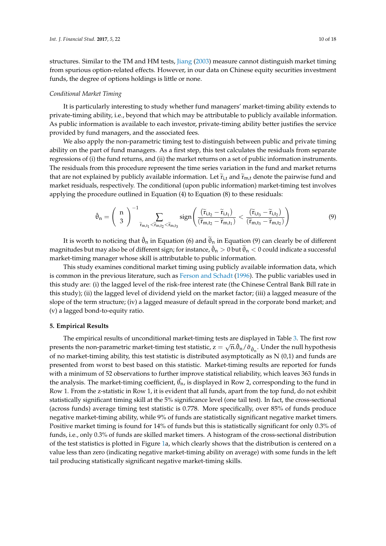structures. Similar to the TM and HM tests, [Jiang](#page-16-6) [\(2003\)](#page-16-6) measure cannot distinguish market timing from spurious option-related effects. However, in our data on Chinese equity securities investment funds, the degree of options holdings is little or none.

# *Conditional Market Timing*

It is particularly interesting to study whether fund managers' market-timing ability extends to private-timing ability, i.e., beyond that which may be attributable to publicly available information. As public information is available to each investor, private-timing ability better justifies the service provided by fund managers, and the associated fees.

We also apply the non-parametric timing test to distinguish between public and private timing ability on the part of fund managers. As a first step, this test calculates the residuals from separate regressions of (i) the fund returns, and (ii) the market returns on a set of public information instruments. The residuals from this procedure represent the time series variation in the fund and market returns that are not explained by publicly available information. Let  $\tilde{r}_{i,t}$  and  $\tilde{r}_{m,t}$  denote the pairwise fund and market residuals, respectively. The conditional (upon public information) market-timing test involves applying the procedure outlined in Equation (4) to Equation (8) to these residuals:

$$
\hat{\theta}_n = \left(\begin{array}{c} n \\ 3 \end{array}\right)^{-1} \sum_{\widetilde{r}_{m,t_1} < \widetilde{r}_{m,t_2} < \widetilde{r}_{m,t_3}} sign\left(\frac{(\widetilde{r}_{i,t_2} - \widetilde{r}_{i,t_1})}{(\widetilde{r}_{m,t_2} - \widetilde{r}_{m,t_1})} < \frac{(\widetilde{r}_{i,t_3} - \widetilde{r}_{i,t_2})}{(\widetilde{r}_{m,t_3} - \widetilde{r}_{m,t_2})}\right)
$$
(9)

It is worth to noticing that  $\hat{\theta}_n$  in Equation (6) and  $\tilde{\theta}_n$  in Equation (9) can clearly be of different magnitudes but may also be of different sign; for instance,  $\hat{\theta}_n > 0$  but  $\tilde{\theta}_n < 0$  could indicate a successful market-timing manager whose skill is attributable to public information.

This study examines conditional market timing using publicly available information data, which is common in the previous literature, such as [Ferson and Schadt](#page-16-3) [\(1996\)](#page-16-3). The public variables used in this study are: (i) the lagged level of the risk-free interest rate (the Chinese Central Bank Bill rate in this study); (ii) the lagged level of dividend yield on the market factor; (iii) a lagged measure of the slope of the term structure; (iv) a lagged measure of default spread in the corporate bond market; and (v) a lagged bond-to-equity ratio.

# <span id="page-9-0"></span>**5. Empirical Results**

The empirical results of unconditional market-timing tests are displayed in Table [3.](#page-12-0) The first row<br>  $\sqrt{2}$ presents the non-parametric market-timing test statistic,  $z=\sqrt{n}.\hat{\theta}_n/\hat{\sigma}_{\hat{\theta}_n}.$  Under the null hypothesis of no market-timing ability, this test statistic is distributed asymptotically as  $N(0,1)$  and funds are presented from worst to best based on this statistic. Market-timing results are reported for funds with a minimum of 52 observations to further improve statistical reliability, which leaves 363 funds in the analysis. The market-timing coefficient,  $\hat{\theta_{\rm n}}$ , is displayed in Row 2, corresponding to the fund in Row 1. From the z-statistic in Row 1, it is evident that all funds, apart from the top fund, do not exhibit statistically significant timing skill at the 5% significance level (one tail test). In fact, the cross-sectional (across funds) average timing test statistic is 0.778. More specifically, over 85% of funds produce negative market-timing ability, while 9% of funds are statistically significant negative market timers. Positive market timing is found for 14% of funds but this is statistically significant for only 0.3% of funds, i.e., only 0.3% of funds are skilled market timers. A histogram of the cross-sectional distribution of the test statistics is plotted in Figure [1a](#page-10-0), which clearly shows that the distribution is centered on a value less than zero (indicating negative market-timing ability on average) with some funds in the left tail producing statistically significant negative market-timing skills.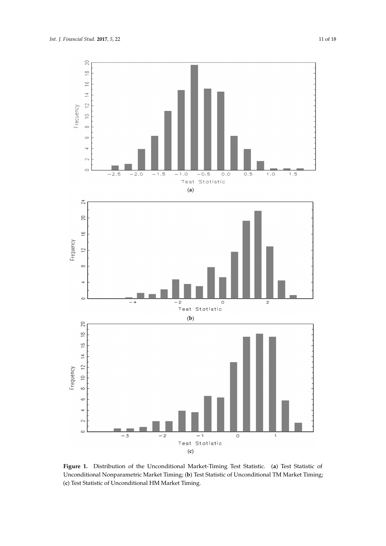<span id="page-10-0"></span>

**Figure 1.** Distribution of the Unconditional Market-Timing Test Statistic. (**a**) Test Statistic of **Figure 1.** Distribution of the Unconditional Market-Timing Test Statistic. (**a**) Test Statistic of Unconditional Nonparametric Market Timing; (**b**) Test Statistic of Unconditional TM Market Timing; Unconditional Nonparametric Market Timing; (**b**) Test Statistic of Unconditional TM Market Timing; (**c**) Test Statistic of Unconditional HM Market Timing. (**c**) Test Statistic of Unconditional HM Market Timing.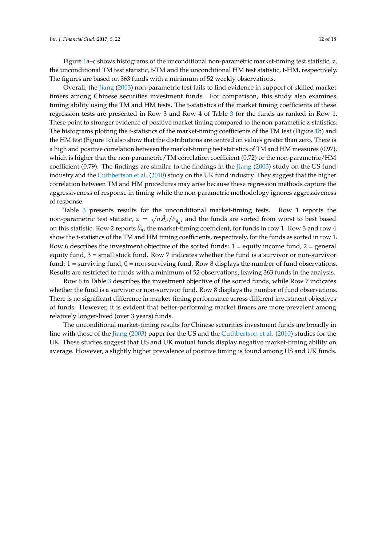Figure [1a](#page-10-0)–c shows histograms of the unconditional non-parametric market-timing test statistic, z, the unconditional TM test statistic, t-TM and the unconditional HM test statistic, t-HM, respectively. The figures are based on 363 funds with a minimum of 52 weekly observations.

Overall, the [Jiang](#page-16-6) [\(2003\)](#page-16-6) non-parametric test fails to find evidence in support of skilled market timers among Chinese securities investment funds. For comparison, this study also examines timing ability using the TM and HM tests. The t-statistics of the market timing coefficients of these regression tests are presented in Row 3 and Row 4 of Table [3](#page-12-0) for the funds as ranked in Row 1. These point to stronger evidence of positive market timing compared to the non-parametric z-statistics. The histograms plotting the t-statistics of the market-timing coefficients of the TM test (Figure [1b](#page-10-0)) and the HM test (Figure [1c](#page-10-0)) also show that the distributions are centred on values greater than zero. There is a high and positive correlation between the market-timing test statistics of TM and HM measures (0.97), which is higher that the non-parametric/TM correlation coefficient (0.72) or the non-parametric/HM coefficient (0.79). The findings are similar to the findings in the [Jiang](#page-16-6) [\(2003\)](#page-16-6) study on the US fund industry and the [Cuthbertson et al.](#page-15-10) [\(2010\)](#page-15-10) study on the UK fund industry. They suggest that the higher correlation between TM and HM procedures may arise because these regression methods capture the aggressiveness of response in timing while the non-parametric methodology ignores aggressiveness of response.

Table [3](#page-12-0) presents results for the unconditional market-timing tests. Row 1 reports the non-parametric test statistic,  $z = \sqrt{n}.\hat{\theta}_n/\hat{\sigma}_{\hat{\theta}_n}$ , and the funds are sorted from worst to best based on this statistic. Row 2 reports  $\hat{\theta}_n$ , the market-timing coefficient, for funds in row 1. Row 3 and row 4 show the t-statistics of the TM and HM timing coefficients, respectively, for the funds as sorted in row 1. Row 6 describes the investment objective of the sorted funds:  $1 =$  equity income fund,  $2 =$  general equity fund,  $3$  = small stock fund. Row 7 indicates whether the fund is a survivor or non-survivor fund:  $1 =$  surviving fund,  $0 =$  non-surviving fund. Row 8 displays the number of fund observations. Results are restricted to funds with a minimum of 52 observations, leaving 363 funds in the analysis.

Row 6 in Table [3](#page-12-0) describes the investment objective of the sorted funds, while Row 7 indicates whether the fund is a survivor or non-survivor fund. Row 8 displays the number of fund observations. There is no significant difference in market-timing performance across different investment objectives of funds. However, it is evident that better-performing market timers are more prevalent among relatively longer-lived (over 3 years) funds.

The unconditional market-timing results for Chinese securities investment funds are broadly in line with those of the [Jiang](#page-16-6) [\(2003\)](#page-16-6) paper for the US and the [Cuthbertson et al.](#page-15-10) [\(2010\)](#page-15-10) studies for the UK. These studies suggest that US and UK mutual funds display negative market-timing ability on average. However, a slightly higher prevalence of positive timing is found among US and UK funds.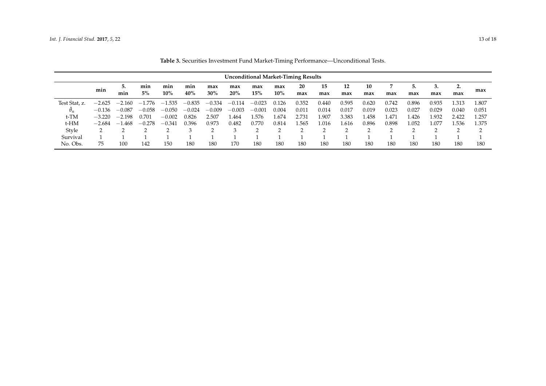<span id="page-12-0"></span>

|               | <b>Unconditional Market-Timing Results</b> |                                  |              |               |            |            |            |            |               |           |           |           |           |       |           |           |           |       |
|---------------|--------------------------------------------|----------------------------------|--------------|---------------|------------|------------|------------|------------|---------------|-----------|-----------|-----------|-----------|-------|-----------|-----------|-----------|-------|
|               | min                                        | 5.<br>min                        | min<br>$5\%$ | min<br>$10\%$ | min<br>40% | max<br>30% | max<br>20% | max<br>15% | max<br>$10\%$ | 20<br>max | 15<br>max | 12<br>max | 10<br>max | max   | 5.<br>max | 3.<br>max | ٠.<br>max | max   |
| Test Stat, z. | $-2.625$                                   | $-2.160$                         | .776<br>— I  | .535          | $-0.835$   | $-0.334$   | $-0.114$   | $-0.023$   | 0.126         | 0.352     | 0.440     | 0.595     | 0.620     | 0.742 | 0.896     | 0.935     | 1.313     | 1.807 |
| $\theta_n$    | $-0.136$                                   | $-0.087$                         | $-0.058$     | $-0.050$      | $-0.024$   | $-0.009$   | $-0.003$   | $-0.001$   | 0.004         | 0.011     | 0.014     | 0.017     | 0.019     | 0.023 | 0.027     | 0.029     | 0.040     | 0.051 |
| $t-TM$        | $-3.220$                                   | $-2.198$                         | 0.701        | $-0.002$      | 0.826      | 2.507      | 1.464      | 1.576      | .674          | 2.731     | l.907     | 3.383     | .458      | l.471 | .426      | .932      | 2.422     | 1.257 |
| t-HM          | $-2.684$                                   | .468<br>$\overline{\phantom{0}}$ | $-0.278$     | $-0.341$      | 0.396      | 0.973      | 0.482      | 0.770      | 0.814         | .565      | l.016     | 1.616     | 0.896     | 0.898 | 1.052     | 1.077     | 1.536     | 1.375 |
| Style         |                                            |                                  |              |               |            | ⌒          |            | ◠          |               |           |           | n         |           |       |           |           | $\sim$    | ◠     |
| Survival      |                                            |                                  |              |               |            |            |            |            |               |           |           |           |           |       |           |           |           |       |
| No. Obs.      | 75                                         | 100                              | 142          | 150           | 180        | 180        | 170        | 180        | 180           | 180       | 180       | 180       | 180       | 180   | 180       | 180       | 180       | 180   |

**Table 3.** Securities Investment Fund Market-Timing Performance—Unconditional Tests.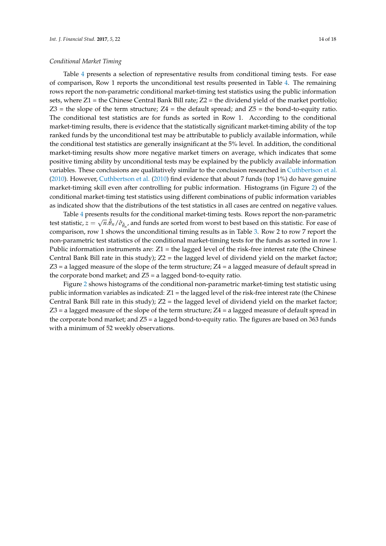Table [4](#page-14-0) presents a selection of representative results from conditional timing tests. For ease of comparison, Row 1 reports the unconditional test results presented in Table [4.](#page-14-0) The remaining rows report the non-parametric conditional market-timing test statistics using the public information sets, where Z1 = the Chinese Central Bank Bill rate; Z2 = the dividend yield of the market portfolio;  $Z3$  = the slope of the term structure;  $Z4$  = the default spread; and  $Z5$  = the bond-to-equity ratio. The conditional test statistics are for funds as sorted in Row 1. According to the conditional market-timing results, there is evidence that the statistically significant market-timing ability of the top ranked funds by the unconditional test may be attributable to publicly available information, while the conditional test statistics are generally insignificant at the 5% level. In addition, the conditional market-timing results show more negative market timers on average, which indicates that some positive timing ability by unconditional tests may be explained by the publicly available information variables. These conclusions are qualitatively similar to the conclusion researched in [Cuthbertson et al.](#page-15-10) [\(2010\)](#page-15-10). However, [Cuthbertson et al.](#page-15-10) [\(2010\)](#page-15-10) find evidence that about 7 funds (top 1%) do have genuine market-timing skill even after controlling for public information. Histograms (in Figure [2\)](#page-14-1) of the conditional market-timing test statistics using different combinations of public information variables as indicated show that the distributions of the test statistics in all cases are centred on negative values.

Table [4](#page-14-0) presents results for the conditional market-timing tests. Rows report the non-parametric test statistic,  $z=\sqrt{n}.\hat{\theta}_n/\hat{\sigma}_{\hat{\theta}_n}$ , and funds are sorted from worst to best based on this statistic. For ease of comparison, row 1 shows the unconditional timing results as in Table [3.](#page-12-0) Row 2 to row 7 report the non-parametric test statistics of the conditional market-timing tests for the funds as sorted in row 1. Public information instruments are:  $Z_1$  = the lagged level of the risk-free interest rate (the Chinese Central Bank Bill rate in this study); Z2 = the lagged level of dividend yield on the market factor;  $Z3$  = a lagged measure of the slope of the term structure;  $Z4$  = a lagged measure of default spread in the corporate bond market; and  $Z5 = a$  lagged bond-to-equity ratio.

Figure [2](#page-14-1) shows histograms of the conditional non-parametric market-timing test statistic using public information variables as indicated:  $Z1$  = the lagged level of the risk-free interest rate (the Chinese Central Bank Bill rate in this study);  $Z2 =$  the lagged level of dividend yield on the market factor;  $Z3$  = a lagged measure of the slope of the term structure;  $Z4$  = a lagged measure of default spread in the corporate bond market; and Z5 = a lagged bond-to-equity ratio. The figures are based on 363 funds with a minimum of 52 weekly observations.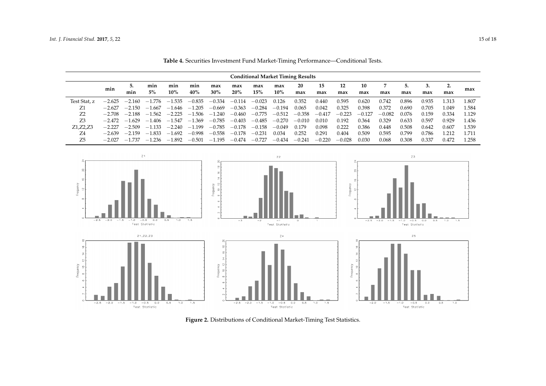|              | <b>Conditional Market Timing Results</b> |              |          |          |          |          |          |          |          |          |          |          |          |          |       |       |          |       |
|--------------|------------------------------------------|--------------|----------|----------|----------|----------|----------|----------|----------|----------|----------|----------|----------|----------|-------|-------|----------|-------|
|              | min                                      | 5.           | min      | min      | min      | max      | max      | max      | max      | 20       | 15       | 12       | 10       | 7        |       |       | <u>.</u> | max   |
|              |                                          | min          | 5%       | $10\%$   | 40%      | $30\%$   | 20%      | 15%      | $10\%$   | max      | max      | max      | max      | max      | max   | max   | max      |       |
| Test Stat, z | $-2.625$                                 | $-2.160$     | $-1.776$ | $-1.535$ | $-0.835$ | $-0.334$ | $-0.114$ | $-0.023$ | 0.126    | 0.352    | 0.440    | 0.595    | 0.620    | 0.742    | 0.896 | 0.935 | .313     | 1.807 |
| Z1           | $-2.627$                                 | $-2.150$     | $-1.667$ | $-1.646$ | $-1.205$ | $-0.669$ | $-0.363$ | $-0.284$ | $-0.194$ | 0.065    | 0.042    | 0.325    | 0.398    | 0.372    | 0.690 | 0.705 | l.049    | 1.584 |
| Z2           | $-2.708$                                 | $-2.188$     | $-1.562$ | $-2.225$ | $-1.506$ | $-1.240$ | $-0.460$ | $-0.775$ | $-0.512$ | $-0.358$ | $-0.417$ | $-0.223$ | $-0.127$ | $-0.082$ | 0.076 | 0.159 | 0.334    | 1.129 |
| Z3           | $-2.472$                                 | $-1.629$     | $-1.406$ | $-1.547$ | $-1.369$ | $-0.785$ | $-0.403$ | $-0.485$ | $-0.270$ | $-0.010$ | 0.010    | 0.192    | 0.364    | 0.329    | 0.633 | 0.597 | 0.929    | 1.436 |
| Z1, Z2, Z3   | $-2.227$                                 | $-2.509$     | $-1.133$ | $-2.240$ | $-1.199$ | $-0.785$ | $-0.178$ | $-0.158$ | $-0.049$ | 0.179    | 0.098    | 0.222    | 0.386    | 0.448    | 0.508 | 0.642 | 0.607    | 1.539 |
| Z4           | $-2.639$                                 | $-2.159$     | $-1.833$ | $-1.692$ | $-0.998$ | $-0.558$ | $-0.178$ | $-0.231$ | 0.034    | 0.252    | 0.291    | 0.404    | 0.509    | 0.595    | 0.799 | 0.786 | 1.212    | 1.711 |
| Z5           | $-2.027$                                 | -737<br>$-1$ | $-1.236$ | $-1.892$ | $-0.501$ | $-1.195$ | $-0.474$ | $-0.727$ | $-0.434$ | $-0.241$ | $-0.220$ | $-0.028$ | 0.030    | 0.068    | 0.308 | 0.337 | 0.472    | 1.258 |

**Table 4.** Securities Investment Fund Market-Timing Performance—Conditional Tests.

<span id="page-14-0"></span>

<span id="page-14-1"></span>**Figure 2.** Distributions of Conditional Market-Timing Test Statistics. **Figure 2.** Distributions of Conditional Market-Timing Test Statistics.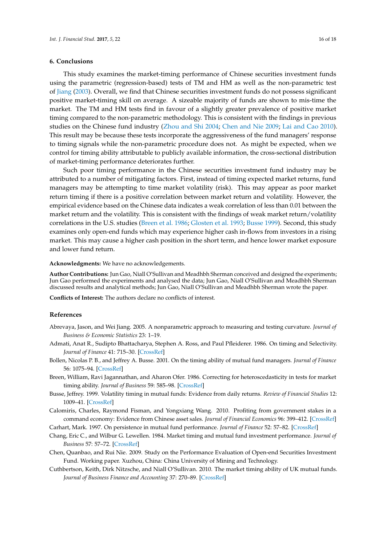# <span id="page-15-4"></span>**6. Conclusions**

This study examines the market-timing performance of Chinese securities investment funds using the parametric (regression-based) tests of TM and HM as well as the non-parametric test of [Jiang](#page-16-6) [\(2003\)](#page-16-6). Overall, we find that Chinese securities investment funds do not possess significant positive market-timing skill on average. A sizeable majority of funds are shown to mis-time the market. The TM and HM tests find in favour of a slightly greater prevalence of positive market timing compared to the non-parametric methodology. This is consistent with the findings in previous studies on the Chinese fund industry [\(Zhou and Shi](#page-17-1) [2004;](#page-17-1) [Chen and Nie](#page-15-7) [2009;](#page-15-7) [Lai and Cao](#page-16-22) [2010\)](#page-16-22). This result may be because these tests incorporate the aggressiveness of the fund managers' response to timing signals while the non-parametric procedure does not. As might be expected, when we control for timing ability attributable to publicly available information, the cross-sectional distribution of market-timing performance deteriorates further.

Such poor timing performance in the Chinese securities investment fund industry may be attributed to a number of mitigating factors. First, instead of timing expected market returns, fund managers may be attempting to time market volatility (risk). This may appear as poor market return timing if there is a positive correlation between market return and volatility. However, the empirical evidence based on the Chinese data indicates a weak correlation of less than 0.01 between the market return and the volatility. This is consistent with the findings of weak market return/volatility correlations in the U.S. studies [\(Breen et al.](#page-15-3) [1986;](#page-15-3) [Glosten et al.](#page-16-18) [1993;](#page-16-18) [Busse](#page-15-6) [1999\)](#page-15-6). Second, this study examines only open-end funds which may experience higher cash in-flows from investors in a rising market. This may cause a higher cash position in the short term, and hence lower market exposure and lower fund return.

#### **Acknowledgments:** We have no acknowledgements.

**Author Contributions:** Jun Gao, Niall O'Sullivan and Meadhbh Sherman conceived and designed the experiments; Jun Gao performed the experiments and analysed the data; Jun Gao, Niall O'Sullivan and Meadhbh Sherman discussed results and analytical methods; Jun Gao, Niall O'Sullivan and Meadhbh Sherman wrote the paper.

**Conflicts of Interest:** The authors declare no conflicts of interest.

# **References**

- <span id="page-15-9"></span>Abrevaya, Jason, and Wei Jiang. 2005. A nonparametric approach to measuring and testing curvature. *Journal of Business & Economic Statistics* 23: 1–19.
- <span id="page-15-1"></span>Admati, Anat R., Sudipto Bhattacharya, Stephen A. Ross, and Paul Pfleiderer. 1986. On timing and Selectivity. *Journal of Finance* 41: 715–30. [\[CrossRef\]](http://dx.doi.org/10.1111/j.1540-6261.1986.tb04536.x)
- <span id="page-15-2"></span>Bollen, Nicolas P. B., and Jeffrey A. Busse. 2001. On the timing ability of mutual fund managers. *Journal of Finance* 56: 1075–94. [\[CrossRef\]](http://dx.doi.org/10.1111/0022-1082.00356)
- <span id="page-15-3"></span>Breen, William, Ravi Jagannathan, and Aharon Ofer. 1986. Correcting for heteroscedasticity in tests for market timing ability. *Journal of Business* 59: 585–98. [\[CrossRef\]](http://dx.doi.org/10.1086/296356)
- <span id="page-15-6"></span>Busse, Jeffrey. 1999. Volatility timing in mutual funds: Evidence from daily returns. *Review of Financial Studies* 12: 1009–41. [\[CrossRef\]](http://dx.doi.org/10.1093/rfs/12.5.1009)
- <span id="page-15-8"></span>Calomiris, Charles, Raymond Fisman, and Yongxiang Wang. 2010. Profiting from government stakes in a command economy: Evidence from Chinese asset sales. *Journal of Financial Economics* 96: 399–412. [\[CrossRef\]](http://dx.doi.org/10.1016/j.jfineco.2010.02.004)
- <span id="page-15-0"></span>Carhart, Mark. 1997. On persistence in mutual fund performance. *Journal of Finance* 52: 57–82. [\[CrossRef\]](http://dx.doi.org/10.1111/j.1540-6261.1997.tb03808.x)
- <span id="page-15-5"></span>Chang, Eric C., and Wilbur G. Lewellen. 1984. Market timing and mutual fund investment performance. *Journal of Business* 57: 57–72. [\[CrossRef\]](http://dx.doi.org/10.1086/296224)
- <span id="page-15-7"></span>Chen, Quanbao, and Rui Nie. 2009. Study on the Performance Evaluation of Open-end Securities Investment Fund. Working paper. Xuzhou, China: China University of Mining and Technology.
- <span id="page-15-10"></span>Cuthbertson, Keith, Dirk Nitzsche, and Niall O'Sullivan. 2010. The market timing ability of UK mutual funds. *Journal of Business Finance and Accounting* 37: 270–89. [\[CrossRef\]](http://dx.doi.org/10.1111/j.1468-5957.2009.02157.x)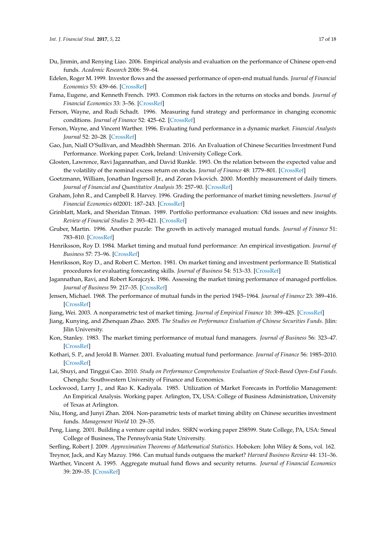- <span id="page-16-21"></span>Du, Jinmin, and Renying Liao. 2006. Empirical analysis and evaluation on the performance of Chinese open-end funds. *Academic Research* 2006: 59–64.
- <span id="page-16-14"></span>Edelen, Roger M. 1999. Investor flows and the assessed performance of open-end mutual funds. *Journal of Financial Economics* 53: 439–66. [\[CrossRef\]](http://dx.doi.org/10.1016/S0304-405X(99)00028-8)
- <span id="page-16-1"></span>Fama, Eugene, and Kenneth French. 1993. Common risk factors in the returns on stocks and bonds. *Journal of Financial Economics* 33: 3–56. [\[CrossRef\]](http://dx.doi.org/10.1016/0304-405X(93)90023-5)
- <span id="page-16-3"></span>Ferson, Wayne, and Rudi Schadt. 1996. Measuring fund strategy and performance in changing economic conditions. *Journal of Finance* 52: 425–62. [\[CrossRef\]](http://dx.doi.org/10.1111/j.1540-6261.1996.tb02690.x)
- <span id="page-16-13"></span>Ferson, Wayne, and Vincent Warther. 1996. Evaluating fund performance in a dynamic market. *Financial Analysts Journal* 52: 20–28. [\[CrossRef\]](http://dx.doi.org/10.2469/faj.v52.n6.2037)
- <span id="page-16-24"></span>Gao, Jun, Niall O'Sullivan, and Meadhbh Sherman. 2016. An Evaluation of Chinese Securities Investment Fund Performance. Working paper. Cork, Ireland: University College Cork.
- <span id="page-16-18"></span>Glosten, Lawrence, Ravi Jagannathan, and David Runkle. 1993. On the relation between the expected value and the volatility of the nominal excess return on stocks. *Journal of Finance* 48: 1779–801. [\[CrossRef\]](http://dx.doi.org/10.1111/j.1540-6261.1993.tb05128.x)
- <span id="page-16-9"></span>Goetzmann, William, Jonathan Ingersoll Jr., and Zoran Ivkovich. 2000. Monthly measurement of daily timers. *Journal of Financial and Quantitative Analysis* 35: 257–90. [\[CrossRef\]](http://dx.doi.org/10.2307/2676204)
- <span id="page-16-7"></span>Graham, John R., and Campbell R. Harvey. 1996. Grading the performance of market timing newsletters. *Journal of Financial Economics* 602001: 187–243. [\[CrossRef\]](http://dx.doi.org/10.1016/0304-405X(96)00879-3)
- <span id="page-16-10"></span>Grinblatt, Mark, and Sheridan Titman. 1989. Portfolio performance evaluation: Old issues and new insights. *Review of Financial Studies* 2: 393–421. [\[CrossRef\]](http://dx.doi.org/10.1093/rfs/2.3.393)
- <span id="page-16-2"></span>Gruber, Martin. 1996. Another puzzle: The growth in actively managed mutual funds. *Journal of Finance* 51: 783–810. [\[CrossRef\]](http://dx.doi.org/10.1111/j.1540-6261.1996.tb02707.x)
- <span id="page-16-16"></span>Henriksson, Roy D. 1984. Market timing and mutual fund performance: An empirical investigation. *Journal of Business* 57: 73–96. [\[CrossRef\]](http://dx.doi.org/10.1086/296225)
- <span id="page-16-5"></span>Henriksson, Roy D., and Robert C. Merton. 1981. On market timing and investment performance II: Statistical procedures for evaluating forecasting skills. *Journal of Business* 54: 513–33. [\[CrossRef\]](http://dx.doi.org/10.1086/296144)
- <span id="page-16-8"></span>Jagannathan, Ravi, and Robert Korajczyk. 1986. Assessing the market timing performance of managed portfolios. *Journal of Business* 59: 217–35. [\[CrossRef\]](http://dx.doi.org/10.1086/296326)
- <span id="page-16-0"></span>Jensen, Michael. 1968. The performance of mutual funds in the period 1945–1964. *Journal of Finance* 23: 389–416. [\[CrossRef\]](http://dx.doi.org/10.1111/j.1540-6261.1968.tb00815.x)
- <span id="page-16-6"></span>Jiang, Wei. 2003. A nonparametric test of market timing. *Journal of Empirical Finance* 10: 399–425. [\[CrossRef\]](http://dx.doi.org/10.1016/S0927-5398(02)00065-8)
- <span id="page-16-20"></span>Jiang, Kunying, and Zhenquan Zhao. 2005. *The Studies on Performance Evaluation of Chinese Securities Funds*. Jilin: Jilin University.
- <span id="page-16-15"></span>Kon, Stanley. 1983. The market timing performance of mutual fund managers. *Journal of Business* 56: 323–47. [\[CrossRef\]](http://dx.doi.org/10.1086/296204)
- <span id="page-16-11"></span>Kothari, S. P., and Jerold B. Warner. 2001. Evaluating mutual fund performance. *Journal of Finance* 56: 1985–2010. [\[CrossRef\]](http://dx.doi.org/10.1111/0022-1082.00397)
- <span id="page-16-22"></span>Lai, Shuyi, and Tinggui Cao. 2010. *Study on Performance Comprehensive Evaluation of Stock-Based Open-End Funds*. Chengdu: Southwestern University of Finance and Economics.
- <span id="page-16-17"></span>Lockwood, Larry J., and Rao K. Kadiyala. 1985. Utilization of Market Forecasts in Portfolio Management: An Empirical Analysis. Working paper. Arlington, TX, USA: College of Business Administration, University of Texas at Arlington.
- <span id="page-16-19"></span>Niu, Hong, and Junyi Zhan. 2004. Non-parametric tests of market timing ability on Chinese securities investment funds. *Management World* 10: 29–35.
- <span id="page-16-23"></span>Peng, Liang. 2001. Building a venture capital index. SSRN working paper 258599. State College, PA, USA: Smeal College of Business, The Pennsylvania State University.
- <span id="page-16-25"></span><span id="page-16-4"></span>Serfling, Robert J. 2009. *Approximation Theorems of Mathematical Statistics*. Hoboken: John Wiley & Sons, vol. 162.
- Treynor, Jack, and Kay Mazuy. 1966. Can mutual funds outguess the market? *Harvard Business Review* 44: 131–36.
- <span id="page-16-12"></span>Warther, Vincent A. 1995. Aggregate mutual fund flows and security returns. *Journal of Financial Economics* 39: 209–35. [\[CrossRef\]](http://dx.doi.org/10.1016/0304-405X(95)00827-2)